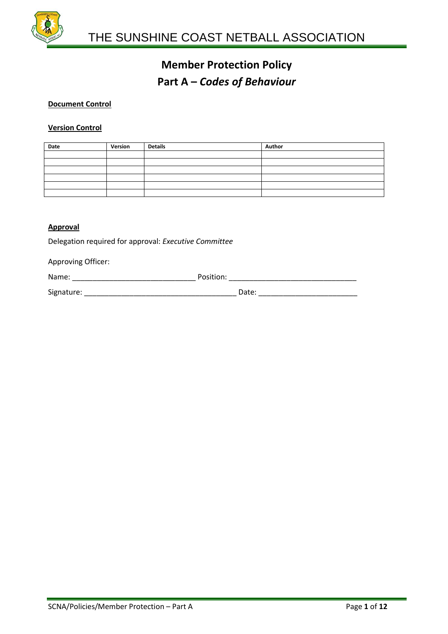

#### **Document Control**

#### **Version Control**

| Date | Version | <b>Details</b> | Author |
|------|---------|----------------|--------|
|      |         |                |        |
|      |         |                |        |
|      |         |                |        |
|      |         |                |        |
|      |         |                |        |
|      |         |                |        |

### **Approval**

Delegation required for approval: *Executive Committee*

Approving Officer:

| Name:      | Position: |
|------------|-----------|
| Signature: | Date:     |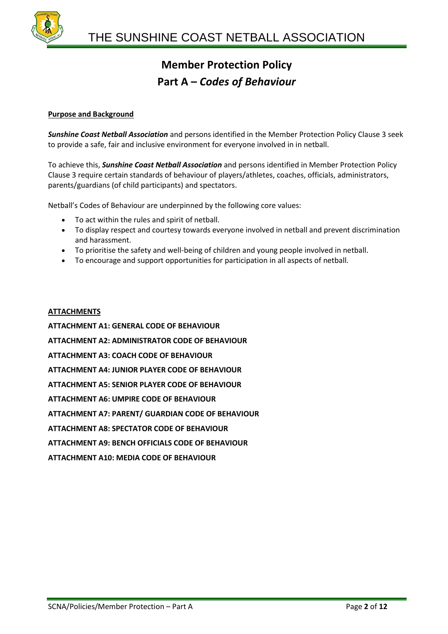

#### **Purpose and Background**

*Sunshine Coast Netball Association* and persons identified in the Member Protection Policy Clause 3 seek to provide a safe, fair and inclusive environment for everyone involved in in netball.

To achieve this, *Sunshine Coast Netball Association* and persons identified in Member Protection Policy Clause 3 require certain standards of behaviour of players/athletes, coaches, officials, administrators, parents/guardians (of child participants) and spectators.

Netball's Codes of Behaviour are underpinned by the following core values:

- To act within the rules and spirit of netball.
- To display respect and courtesy towards everyone involved in netball and prevent discrimination and harassment.
- To prioritise the safety and well-being of children and young people involved in netball.
- To encourage and support opportunities for participation in all aspects of netball.

#### **ATTACHMENTS**

**ATTACHMENT A1: GENERAL CODE OF BEHAVIOUR ATTACHMENT A2: ADMINISTRATOR CODE OF BEHAVIOUR ATTACHMENT A3: COACH CODE OF BEHAVIOUR ATTACHMENT A4: JUNIOR PLAYER CODE OF BEHAVIOUR ATTACHMENT A5: SENIOR PLAYER CODE OF BEHAVIOUR ATTACHMENT A6: UMPIRE CODE OF BEHAVIOUR ATTACHMENT A7: PARENT/ GUARDIAN CODE OF BEHAVIOUR ATTACHMENT A8: SPECTATOR CODE OF BEHAVIOUR ATTACHMENT A9: BENCH OFFICIALS CODE OF BEHAVIOUR ATTACHMENT A10: MEDIA CODE OF BEHAVIOUR**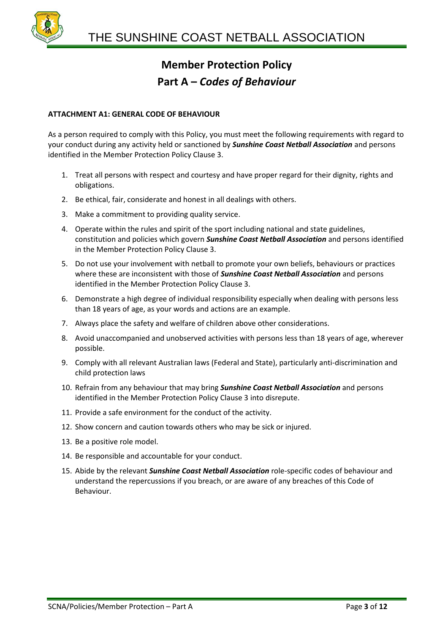

### **ATTACHMENT A1: GENERAL CODE OF BEHAVIOUR**

As a person required to comply with this Policy, you must meet the following requirements with regard to your conduct during any activity held or sanctioned by *Sunshine Coast Netball Association* and persons identified in the Member Protection Policy Clause 3.

- 1. Treat all persons with respect and courtesy and have proper regard for their dignity, rights and obligations.
- 2. Be ethical, fair, considerate and honest in all dealings with others.
- 3. Make a commitment to providing quality service.
- 4. Operate within the rules and spirit of the sport including national and state guidelines, constitution and policies which govern *Sunshine Coast Netball Association* and persons identified in the Member Protection Policy Clause 3.
- 5. Do not use your involvement with netball to promote your own beliefs, behaviours or practices where these are inconsistent with those of *Sunshine Coast Netball Association* and persons identified in the Member Protection Policy Clause 3.
- 6. Demonstrate a high degree of individual responsibility especially when dealing with persons less than 18 years of age, as your words and actions are an example.
- 7. Always place the safety and welfare of children above other considerations.
- 8. Avoid unaccompanied and unobserved activities with persons less than 18 years of age, wherever possible.
- 9. Comply with all relevant Australian laws (Federal and State), particularly anti-discrimination and child protection laws
- 10. Refrain from any behaviour that may bring *Sunshine Coast Netball Association* and persons identified in the Member Protection Policy Clause 3 into disrepute.
- 11. Provide a safe environment for the conduct of the activity.
- 12. Show concern and caution towards others who may be sick or injured.
- 13. Be a positive role model.
- 14. Be responsible and accountable for your conduct.
- 15. Abide by the relevant *Sunshine Coast Netball Association* role-specific codes of behaviour and understand the repercussions if you breach, or are aware of any breaches of this Code of Behaviour.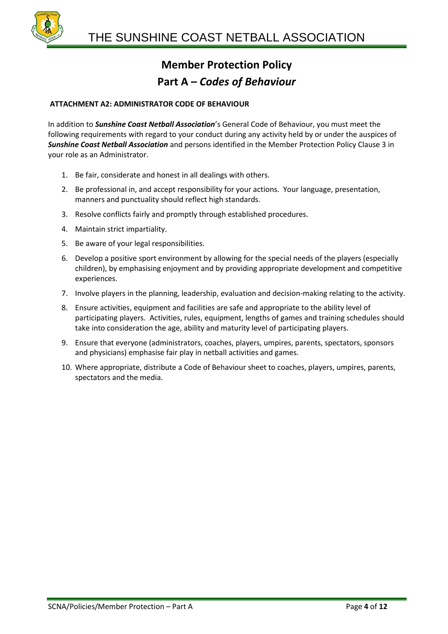

#### **ATTACHMENT A2: ADMINISTRATOR CODE OF BEHAVIOUR**

In addition to *Sunshine Coast Netball Association*'s General Code of Behaviour, you must meet the following requirements with regard to your conduct during any activity held by or under the auspices of *Sunshine Coast Netball Association* and persons identified in the Member Protection Policy Clause 3 in your role as an Administrator.

- 1. Be fair, considerate and honest in all dealings with others.
- 2. Be professional in, and accept responsibility for your actions. Your language, presentation, manners and punctuality should reflect high standards.
- 3. Resolve conflicts fairly and promptly through established procedures.
- 4. Maintain strict impartiality.
- 5. Be aware of your legal responsibilities.
- 6. Develop a positive sport environment by allowing for the special needs of the players (especially children), by emphasising enjoyment and by providing appropriate development and competitive experiences.
- 7. Involve players in the planning, leadership, evaluation and decision-making relating to the activity.
- 8. Ensure activities, equipment and facilities are safe and appropriate to the ability level of participating players. Activities, rules, equipment, lengths of games and training schedules should take into consideration the age, ability and maturity level of participating players.
- 9. Ensure that everyone (administrators, coaches, players, umpires, parents, spectators, sponsors and physicians) emphasise fair play in netball activities and games.
- 10. Where appropriate, distribute a Code of Behaviour sheet to coaches, players, umpires, parents, spectators and the media.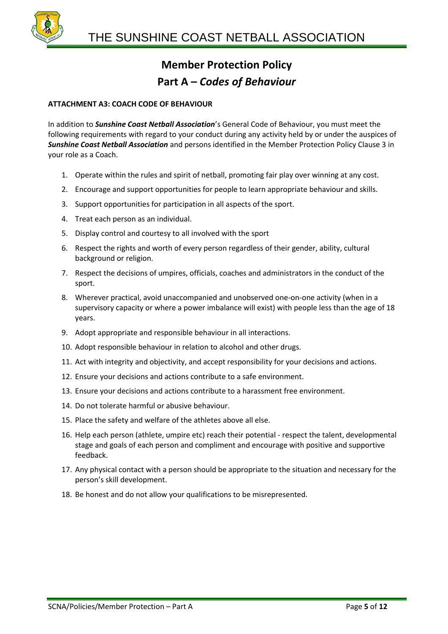

#### **ATTACHMENT A3: COACH CODE OF BEHAVIOUR**

In addition to *Sunshine Coast Netball Association*'s General Code of Behaviour, you must meet the following requirements with regard to your conduct during any activity held by or under the auspices of *Sunshine Coast Netball Association* and persons identified in the Member Protection Policy Clause 3 in your role as a Coach.

- 1. Operate within the rules and spirit of netball, promoting fair play over winning at any cost.
- 2. Encourage and support opportunities for people to learn appropriate behaviour and skills.
- 3. Support opportunities for participation in all aspects of the sport.
- 4. Treat each person as an individual.
- 5. Display control and courtesy to all involved with the sport
- 6. Respect the rights and worth of every person regardless of their gender, ability, cultural background or religion.
- 7. Respect the decisions of umpires, officials, coaches and administrators in the conduct of the sport.
- 8. Wherever practical, avoid unaccompanied and unobserved one-on-one activity (when in a supervisory capacity or where a power imbalance will exist) with people less than the age of 18 years.
- 9. Adopt appropriate and responsible behaviour in all interactions.
- 10. Adopt responsible behaviour in relation to alcohol and other drugs.
- 11. Act with integrity and objectivity, and accept responsibility for your decisions and actions.
- 12. Ensure your decisions and actions contribute to a safe environment.
- 13. Ensure your decisions and actions contribute to a harassment free environment.
- 14. Do not tolerate harmful or abusive behaviour.
- 15. Place the safety and welfare of the athletes above all else.
- 16. Help each person (athlete, umpire etc) reach their potential respect the talent, developmental stage and goals of each person and compliment and encourage with positive and supportive feedback.
- 17. Any physical contact with a person should be appropriate to the situation and necessary for the person's skill development.
- 18. Be honest and do not allow your qualifications to be misrepresented.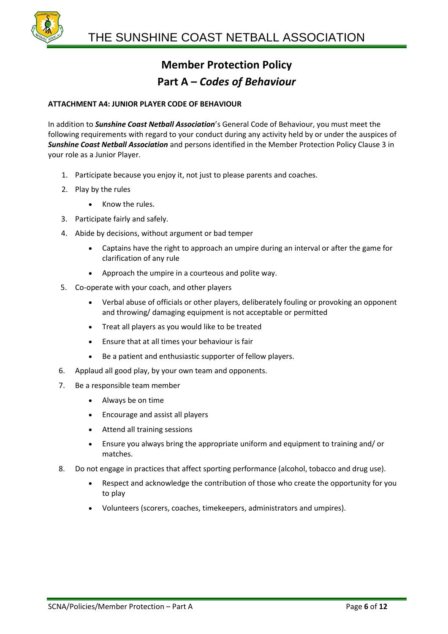

#### **ATTACHMENT A4: JUNIOR PLAYER CODE OF BEHAVIOUR**

In addition to *Sunshine Coast Netball Association*'s General Code of Behaviour, you must meet the following requirements with regard to your conduct during any activity held by or under the auspices of *Sunshine Coast Netball Association* and persons identified in the Member Protection Policy Clause 3 in your role as a Junior Player.

- 1. Participate because you enjoy it, not just to please parents and coaches.
- 2. Play by the rules
	- Know the rules.
- 3. Participate fairly and safely.
- 4. Abide by decisions, without argument or bad temper
	- Captains have the right to approach an umpire during an interval or after the game for clarification of any rule
	- Approach the umpire in a courteous and polite way.
- 5. Co-operate with your coach, and other players
	- Verbal abuse of officials or other players, deliberately fouling or provoking an opponent and throwing/ damaging equipment is not acceptable or permitted
	- Treat all players as you would like to be treated
	- Ensure that at all times your behaviour is fair
	- Be a patient and enthusiastic supporter of fellow players.
- 6. Applaud all good play, by your own team and opponents.
- 7. Be a responsible team member
	- Always be on time
	- Encourage and assist all players
	- Attend all training sessions
	- Ensure you always bring the appropriate uniform and equipment to training and/ or matches.
- 8. Do not engage in practices that affect sporting performance (alcohol, tobacco and drug use).
	- Respect and acknowledge the contribution of those who create the opportunity for you to play
	- Volunteers (scorers, coaches, timekeepers, administrators and umpires).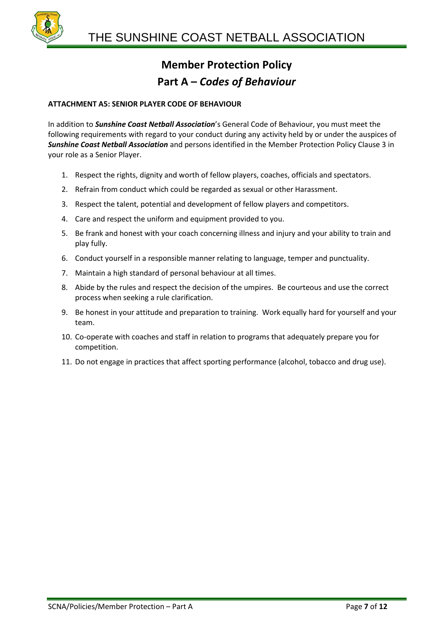

#### **ATTACHMENT A5: SENIOR PLAYER CODE OF BEHAVIOUR**

In addition to *Sunshine Coast Netball Association*'s General Code of Behaviour, you must meet the following requirements with regard to your conduct during any activity held by or under the auspices of *Sunshine Coast Netball Association* and persons identified in the Member Protection Policy Clause 3 in your role as a Senior Player.

- 1. Respect the rights, dignity and worth of fellow players, coaches, officials and spectators.
- 2. Refrain from conduct which could be regarded as sexual or other Harassment.
- 3. Respect the talent, potential and development of fellow players and competitors.
- 4. Care and respect the uniform and equipment provided to you.
- 5. Be frank and honest with your coach concerning illness and injury and your ability to train and play fully.
- 6. Conduct yourself in a responsible manner relating to language, temper and punctuality.
- 7. Maintain a high standard of personal behaviour at all times.
- 8. Abide by the rules and respect the decision of the umpires. Be courteous and use the correct process when seeking a rule clarification.
- 9. Be honest in your attitude and preparation to training. Work equally hard for yourself and your team.
- 10. Co-operate with coaches and staff in relation to programs that adequately prepare you for competition.
- 11. Do not engage in practices that affect sporting performance (alcohol, tobacco and drug use).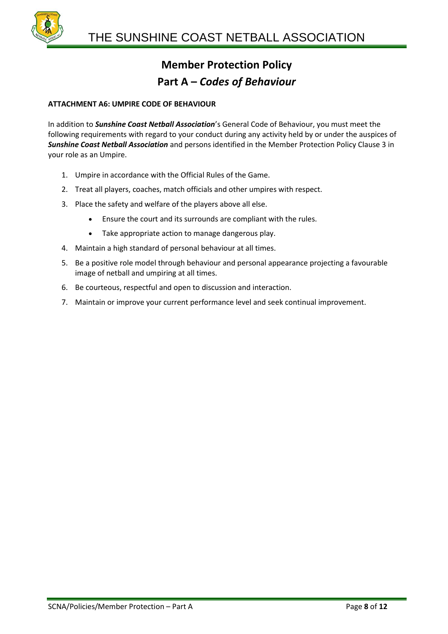

#### **ATTACHMENT A6: UMPIRE CODE OF BEHAVIOUR**

In addition to *Sunshine Coast Netball Association*'s General Code of Behaviour, you must meet the following requirements with regard to your conduct during any activity held by or under the auspices of *Sunshine Coast Netball Association* and persons identified in the Member Protection Policy Clause 3 in your role as an Umpire.

- 1. Umpire in accordance with the Official Rules of the Game.
- 2. Treat all players, coaches, match officials and other umpires with respect.
- 3. Place the safety and welfare of the players above all else.
	- Ensure the court and its surrounds are compliant with the rules.
	- Take appropriate action to manage dangerous play.
- 4. Maintain a high standard of personal behaviour at all times.
- 5. Be a positive role model through behaviour and personal appearance projecting a favourable image of netball and umpiring at all times.
- 6. Be courteous, respectful and open to discussion and interaction.
- 7. Maintain or improve your current performance level and seek continual improvement.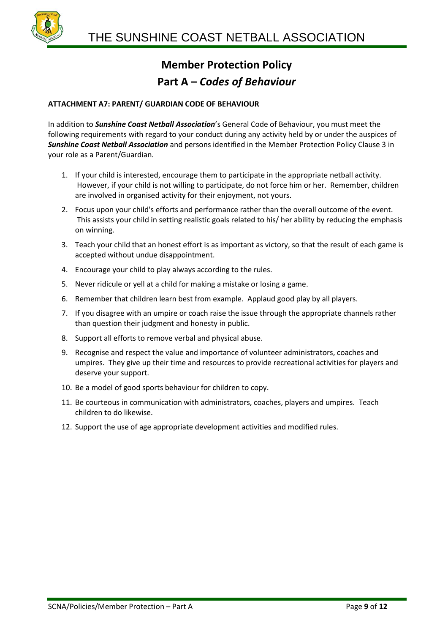

#### **ATTACHMENT A7: PARENT/ GUARDIAN CODE OF BEHAVIOUR**

In addition to *Sunshine Coast Netball Association*'s General Code of Behaviour, you must meet the following requirements with regard to your conduct during any activity held by or under the auspices of *Sunshine Coast Netball Association* and persons identified in the Member Protection Policy Clause 3 in your role as a Parent/Guardian.

- 1. If your child is interested, encourage them to participate in the appropriate netball activity. However, if your child is not willing to participate, do not force him or her. Remember, children are involved in organised activity for their enjoyment, not yours.
- 2. Focus upon your child's efforts and performance rather than the overall outcome of the event. This assists your child in setting realistic goals related to his/ her ability by reducing the emphasis on winning.
- 3. Teach your child that an honest effort is as important as victory, so that the result of each game is accepted without undue disappointment.
- 4. Encourage your child to play always according to the rules.
- 5. Never ridicule or yell at a child for making a mistake or losing a game.
- 6. Remember that children learn best from example. Applaud good play by all players.
- 7. If you disagree with an umpire or coach raise the issue through the appropriate channels rather than question their judgment and honesty in public.
- 8. Support all efforts to remove verbal and physical abuse.
- 9. Recognise and respect the value and importance of volunteer administrators, coaches and umpires. They give up their time and resources to provide recreational activities for players and deserve your support.
- 10. Be a model of good sports behaviour for children to copy.
- 11. Be courteous in communication with administrators, coaches, players and umpires. Teach children to do likewise.
- 12. Support the use of age appropriate development activities and modified rules.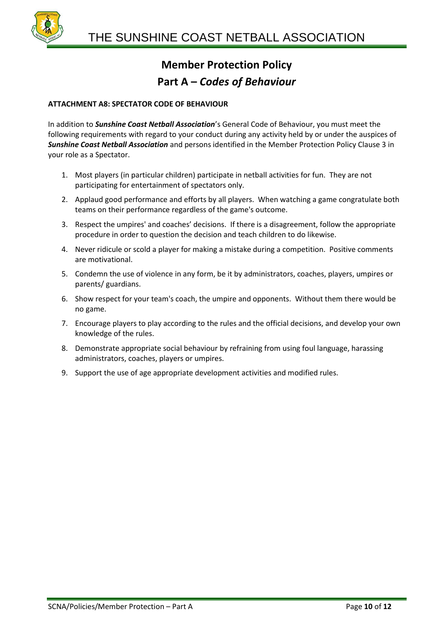

#### **ATTACHMENT A8: SPECTATOR CODE OF BEHAVIOUR**

In addition to *Sunshine Coast Netball Association*'s General Code of Behaviour, you must meet the following requirements with regard to your conduct during any activity held by or under the auspices of *Sunshine Coast Netball Association* and persons identified in the Member Protection Policy Clause 3 in your role as a Spectator.

- 1. Most players (in particular children) participate in netball activities for fun. They are not participating for entertainment of spectators only.
- 2. Applaud good performance and efforts by all players. When watching a game congratulate both teams on their performance regardless of the game's outcome.
- 3. Respect the umpires' and coaches' decisions. If there is a disagreement, follow the appropriate procedure in order to question the decision and teach children to do likewise.
- 4. Never ridicule or scold a player for making a mistake during a competition. Positive comments are motivational.
- 5. Condemn the use of violence in any form, be it by administrators, coaches, players, umpires or parents/ guardians.
- 6. Show respect for your team's coach, the umpire and opponents. Without them there would be no game.
- 7. Encourage players to play according to the rules and the official decisions, and develop your own knowledge of the rules.
- 8. Demonstrate appropriate social behaviour by refraining from using foul language, harassing administrators, coaches, players or umpires.
- 9. Support the use of age appropriate development activities and modified rules.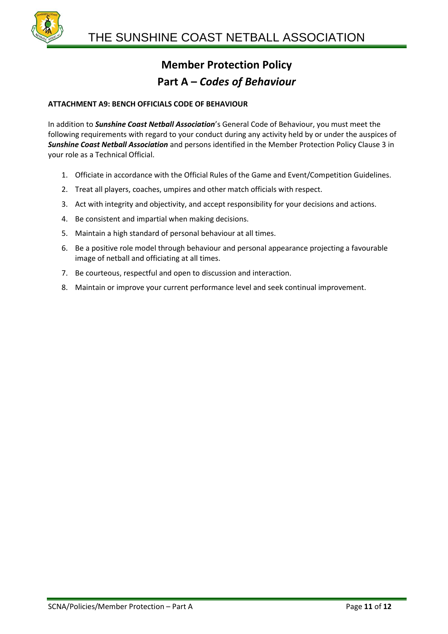

#### **ATTACHMENT A9: BENCH OFFICIALS CODE OF BEHAVIOUR**

In addition to *Sunshine Coast Netball Association*'s General Code of Behaviour, you must meet the following requirements with regard to your conduct during any activity held by or under the auspices of *Sunshine Coast Netball Association* and persons identified in the Member Protection Policy Clause 3 in your role as a Technical Official.

- 1. Officiate in accordance with the Official Rules of the Game and Event/Competition Guidelines.
- 2. Treat all players, coaches, umpires and other match officials with respect.
- 3. Act with integrity and objectivity, and accept responsibility for your decisions and actions.
- 4. Be consistent and impartial when making decisions.
- 5. Maintain a high standard of personal behaviour at all times.
- 6. Be a positive role model through behaviour and personal appearance projecting a favourable image of netball and officiating at all times.
- 7. Be courteous, respectful and open to discussion and interaction.
- 8. Maintain or improve your current performance level and seek continual improvement.